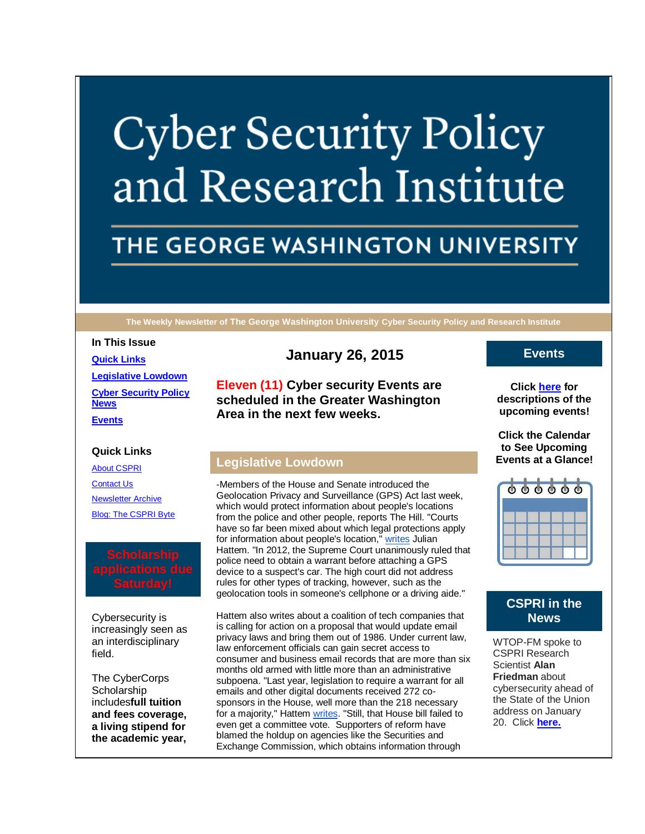# **Cyber Security Policy** and Research Institute

## THE GEORGE WASHINGTON UNIVERSITY

**The Weekly Newsletter of The George Washington University Cyber Security Policy and Research Institute**

#### **In This Issue**

**[Quick Links](https://mail.google.com/mail/u/0/#14b27d8922616819_LETTER.BLOCK5) [Legislative Lowdown](https://mail.google.com/mail/u/0/#14b27d8922616819_LETTER.BLOCK23) [Cyber Security Policy](https://mail.google.com/mail/u/0/#14b27d8922616819_LETTER.BLOCK26)  [News](https://mail.google.com/mail/u/0/#14b27d8922616819_LETTER.BLOCK26) [Events](https://mail.google.com/mail/u/0/#14b27d8922616819_LETTER.BLOCK29)**

#### **Quick Links**

[About CSPRI](http://r20.rs6.net/tn.jsp?e=001vgAcbWYHLNs7GuPO_hBvm3mECXdriEz4sBqlJgYGiNlYIolo-ZdU5hVl-e9ClsKGVILmrOP9l1lbcsqgJ-EUNr8DgjGgzfQW6x9_pzCBWZT7VkxZmkMk-FtGj81uMzSJ) [Contact Us](http://r20.rs6.net/tn.jsp?e=001vgAcbWYHLNs7GuPO_hBvm3mECXdriEz4sBqlJgYGiNlYIolo-ZdU5hVl-e9ClsKGVILmrOP9l1lbcsqgJ-EUNr8DgjGgzfQW6x9_pzCBWZQN76db8m6OGTE-lr1t7ZPcZN5IZCjnJ0Y=) [Newsletter Archive](http://r20.rs6.net/tn.jsp?e=001vgAcbWYHLNs7GuPO_hBvm3mECXdriEz4sBqlJgYGiNlYIolo-ZdU5hVl-e9ClsKGVILmrOP9l1lbcsqgJ-EUNr8DgjGgzfQW6x9_pzCBWZShe7nfsExyQOAvdcJc9aA-OpVTsAKg_zU=) [Blog: The CSPRI Byte](http://r20.rs6.net/tn.jsp?e=001vgAcbWYHLNs7GuPO_hBvm3mECXdriEz4sBqlJgYGiNlYIolo-ZdU5hVl-e9ClsKGVILmrOP9l1lbcsqgJ-EUNr8DgjGgzfQW6x9_pzCBWZQVDiCP-vGzgMrRMNQZGZkh)

Cybersecurity is increasingly seen as an interdisciplinary field.

The CyberCorps **Scholarship** includes**full tuition and fees coverage, a living stipend for the academic year,** 

### **January 26, 2015**

**Eleven (11) Cyber security Events are scheduled in the Greater Washington Area in the next few weeks.**

#### **Legislative Lowdown**

-Members of the House and Senate introduced the Geolocation Privacy and Surveillance (GPS) Act last week, which would protect information about people's locations from the police and other people, reports The Hill. "Courts have so far been mixed about which legal protections apply for information about people's location," [writes](http://r20.rs6.net/tn.jsp?e=001vgAcbWYHLNs7GuPO_hBvm3mECXdriEz4sBqlJgYGiNlYIolo-ZdU5hVl-e9ClsKGVILmrOP9l1mRRP0mPF35LPfenoHYu6YZrNeEz9MqqezEorgXVpte0gUjCCiJhVVIktxsdGv70C9wroihgnEEQZNPOyfXUL1O6tGLeDwwP0IJ1oHKX_st7nBN3PPW1G_h) Julian Hattem. "In 2012, the Supreme Court unanimously ruled that police need to obtain a warrant before attaching a GPS device to a suspect's car. The high court did not address rules for other types of tracking, however, such as the geolocation tools in someone's cellphone or a driving aide."

Hattem also writes about a coalition of tech companies that is calling for action on a proposal that would update email privacy laws and bring them out of 1986. Under current law, law enforcement officials can gain secret access to consumer and business email records that are more than six months old armed with little more than an administrative subpoena. "Last year, legislation to require a warrant for all emails and other digital documents received 272 cosponsors in the House, well more than the 218 necessary for a majority," Hattem [writes.](http://r20.rs6.net/tn.jsp?e=001vgAcbWYHLNs7GuPO_hBvm3mECXdriEz4sBqlJgYGiNlYIolo-ZdU5hVl-e9ClsKGVILmrOP9l1mRRP0mPF35LPfenoHYu6YZrNeEz9MqqezEorgXVpte0gUjCCiJhVVIatCWFlBWIGDGJ8PPEikClhF7DmPo_EqYWfUSgmTGBfrBgOSnG_o3-Rugkp5jvAebD0MdMrwugLw=) "Still, that House bill failed to even get a committee vote. Supporters of reform have blamed the holdup on agencies like the Securities and Exchange Commission, which obtains information through

#### **Events**

**Click [here](http://r20.rs6.net/tn.jsp?e=001vgAcbWYHLNs7GuPO_hBvm3mECXdriEz4sBqlJgYGiNlYIolo-ZdU5hVl-e9ClsKGVILmrOP9l1lbcsqgJ-EUNr8DgjGgzfQW6x9_pzCBWZTvph9M_AgQD06FIR7-npwpIonJm5zyM_vw-czDf972lw==) for descriptions of the upcoming events!**

**Click the Calendar to See Upcoming Events at a Glance!**



#### **CSPRI in the News**

WTOP-FM spoke to CSPRI Research Scientist **Alan Friedman** about cybersecurity ahead of the State of the Union address on January 20. Click **[here.](http://r20.rs6.net/tn.jsp?e=001vgAcbWYHLNs7GuPO_hBvm3mECXdriEz4sBqlJgYGiNlYIolo-ZdU5hVl-e9ClsKGVILmrOP9l1kSLdOVQrLSRMOBIThZkYqU_QVvEGURISBCgv4eXEn6l8J9XJ0-5Lqpx2WAQ9UJ9AYlmBEzGn5p4buGfeeJ0fQOqfhi4c_muez89qLmTH7FS64Va_O6pe9OrSnKPSK_iwCFNwXtMs4qsyoWD2B78fN_)**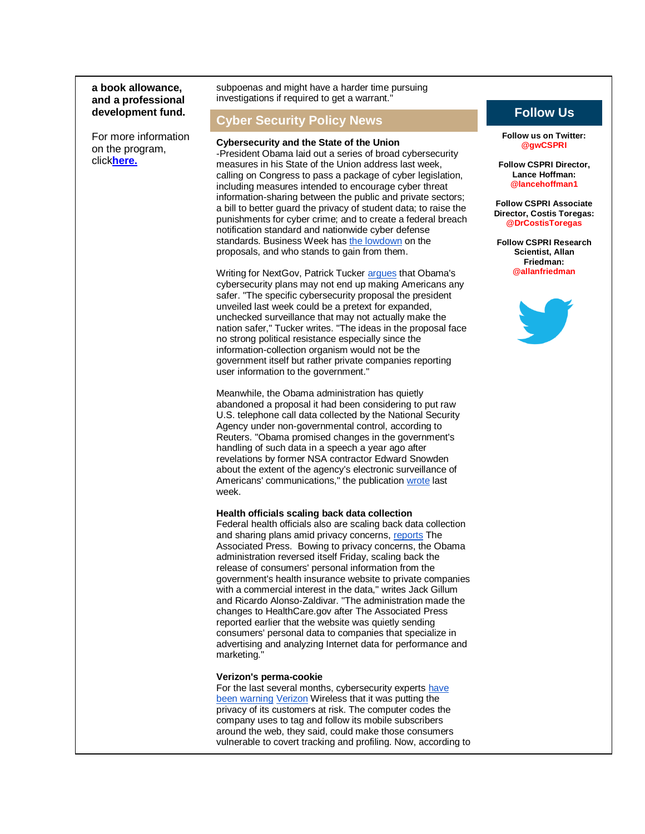#### **a book allowance, and a professional development fund.**

For more information on the program, click**[here.](http://r20.rs6.net/tn.jsp?e=001vgAcbWYHLNs7GuPO_hBvm3mECXdriEz4sBqlJgYGiNlYIolo-ZdU5hVl-e9ClsKGVILmrOP9l1l6X9NxPvD82erWCYS6-JxkIHvJoNt1sHriaspHEPXATnpBCDtQfQ1B)**

subpoenas and might have a harder time pursuing investigations if required to get a warrant."

#### **Cyber Security Policy News**

#### **Cybersecurity and the State of the Union**

-President Obama laid out a series of broad cybersecurity measures in his State of the Union address last week, calling on Congress to pass a package of cyber legislation, including measures intended to encourage cyber threat information-sharing between the public and private sectors; a bill to better guard the privacy of student data; to raise the punishments for cyber crime; and to create a federal breach notification standard and nationwide cyber defense standards. Business Week has [the lowdown](http://r20.rs6.net/tn.jsp?e=001vgAcbWYHLNs7GuPO_hBvm3mECXdriEz4sBqlJgYGiNlYIolo-ZdU5hVl-e9ClsKGVILmrOP9l1lUOxvQh04S8_lqjCHpKGw5j27fbRoGFkVinexMkyJcLmFP7AKrNaR5aKh58be_nfT-PS-KwFJfsWBmN1FkzUWiKjhGvwtdH7juxYP96im2oozMKU8J6byozLQETrqKgC2H4lBZz5PwXw==) on the proposals, and who stands to gain from them.

Writing for NextGov, Patrick Tucker [argues](http://r20.rs6.net/tn.jsp?e=001vgAcbWYHLNs7GuPO_hBvm3mECXdriEz4sBqlJgYGiNlYIolo-ZdU5hVl-e9ClsKGVILmrOP9l1mgo5JAkNWPCav4NHRgjzFMdAptp3wGZhNwc3EQPXCgWfbsoK4OJtUVI0CJMWc2vIq1tXhbNPAKZVj08rzKkU_MhX7ZiW3CyrNRyfqhKX5jiozQhdH82JMaDaSoEdpAsvEbGKAcL8J7aegQiJFwPnEdqwFiUKSbnpQ6UcG4wM7qTlJ56ao7hnBUYQRzXkAspPw=) that Obama's cybersecurity plans may not end up making Americans any safer. "The specific cybersecurity proposal the president unveiled last week could be a pretext for expanded, unchecked surveillance that may not actually make the nation safer," Tucker writes. "The ideas in the proposal face no strong political resistance especially since the information-collection organism would not be the government itself but rather private companies reporting user information to the government."

Meanwhile, the Obama administration has quietly abandoned a proposal it had been considering to put raw U.S. telephone call data collected by the National Security Agency under non-governmental control, according to Reuters. "Obama promised changes in the government's handling of such data in a speech a year ago after revelations by former NSA contractor Edward Snowden about the extent of the agency's electronic surveillance of Americans' communications," the publication [wrote](http://r20.rs6.net/tn.jsp?e=001vgAcbWYHLNs7GuPO_hBvm3mECXdriEz4sBqlJgYGiNlYIolo-ZdU5hVl-e9ClsKGVILmrOP9l1lCqz1GVH0KN4kK7XxpVfuCDfe2PjNVw_Eg2t98WYHpYaQ8vojf82yAp0JhJIzQBGOIPIWPk-Q-OmzaRYajcmxNZtf4FPOK-sim4k9L9EEW9aDn56qr1yk8uPTRfd9SQsM=) last week.

#### **Health officials scaling back data collection**

Federal health officials also are scaling back data collection and sharing plans amid privacy concerns, [reports](http://r20.rs6.net/tn.jsp?e=001vgAcbWYHLNs7GuPO_hBvm3mECXdriEz4sBqlJgYGiNlYIolo-ZdU5hVl-e9ClsKGVILmrOP9l1kgYCkSKAmJNoGNVQr3AmnLO9YkhA_3VhxKPuROIc9U5q10exXR8t3OgrwAKqc_CqqQrPjind934nvsYdP4alAWj-qBy-wo5SVdSrgBnXDv_hZ4MnCdGAWDAaw7coRwp3rgajwZ_vQuvnWdtMwjqmNXv7IgJ_bJVTo=) The Associated Press. Bowing to privacy concerns, the Obama administration reversed itself Friday, scaling back the release of consumers' personal information from the government's health insurance website to private companies with a commercial interest in the data," writes Jack Gillum and Ricardo Alonso-Zaldivar. "The administration made the changes to HealthCare.gov after The Associated Press reported earlier that the website was quietly sending consumers' personal data to companies that specialize in advertising and analyzing Internet data for performance and marketing."

#### **Verizon's perma-cookie**

For the last several months, cybersecurity experts have [been warning](http://r20.rs6.net/tn.jsp?e=001vgAcbWYHLNs7GuPO_hBvm3mECXdriEz4sBqlJgYGiNlYIolo-ZdU5hVl-e9ClsKG8IxODYb8BT7lyg1Cpqv1WIs_ei8za6y9qOUSFyjT3BQzcRfu-V-VwFQp79mnVqquukdp-V1a9J0xPFTNDj2aag==) [Verizon](http://r20.rs6.net/tn.jsp?e=001vgAcbWYHLNs7GuPO_hBvm3mECXdriEz4sBqlJgYGiNlYIolo-ZdU5hVl-e9ClsKGVILmrOP9l1m0ObBIxsHeV1oBOVquiRS2piRVdYdZNQK2urv37CQbsczeqLu42C7yKToqMnA57jBTxVATKJGnr3lJOopGsIg2qY5Qdk_5az52_lKqVdB0q4ZG5yBzpBWuTFmN6ZLK6wXDY5ZG37vAphD16yMXROBr5DIFzpQ9OJs=) Wireless that it was putting the privacy of its customers at risk. The computer codes the company uses to tag and follow its mobile subscribers around the web, they said, could make those consumers vulnerable to covert tracking and profiling. Now, according to

### **Follow Us**

**Follow us on Twitter: @gwCSPRI**

**Follow CSPRI Director, Lance Hoffman: @lancehoffman1**

**Follow CSPRI Associate Director, Costis Toregas: @DrCostisToregas**

**Follow CSPRI Research Scientist, Allan Friedman: @allanfriedman**